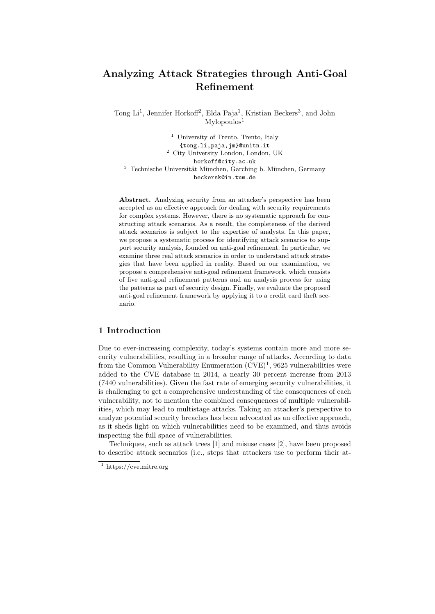# Analyzing Attack Strategies through Anti-Goal Refinement

Tong Li<sup>1</sup>, Jennifer Horkoff<sup>2</sup>, Elda Paja<sup>1</sup>, Kristian Beckers<sup>3</sup>, and John  $M$ vlopoulos $<sup>1</sup>$ </sup>

<sup>1</sup> University of Trento, Trento, Italy {tong.li,paja,jm}@unitn.it <sup>2</sup> City University London, London, UK horkoff@city.ac.uk  $3$  Technische Universität München, Garching b. München, Germany beckersk@in.tum.de

Abstract. Analyzing security from an attacker's perspective has been accepted as an effective approach for dealing with security requirements for complex systems. However, there is no systematic approach for constructing attack scenarios. As a result, the completeness of the derived attack scenarios is subject to the expertise of analysts. In this paper, we propose a systematic process for identifying attack scenarios to support security analysis, founded on anti-goal refinement. In particular, we examine three real attack scenarios in order to understand attack strategies that have been applied in reality. Based on our examination, we propose a comprehensive anti-goal refinement framework, which consists of five anti-goal refinement patterns and an analysis process for using the patterns as part of security design. Finally, we evaluate the proposed anti-goal refinement framework by applying it to a credit card theft scenario.

#### 1 Introduction

Due to ever-increasing complexity, today's systems contain more and more security vulnerabilities, resulting in a broader range of attacks. According to data from the Common Vulnerability Enumeration  $(CVE)^1$ , 9625 vulnerabilities were added to the CVE database in 2014, a nearly 30 percent increase from 2013 (7440 vulnerabilities). Given the fast rate of emerging security vulnerabilities, it is challenging to get a comprehensive understanding of the consequences of each vulnerability, not to mention the combined consequences of multiple vulnerabilities, which may lead to multistage attacks. Taking an attacker's perspective to analyze potential security breaches has been advocated as an effective approach, as it sheds light on which vulnerabilities need to be examined, and thus avoids inspecting the full space of vulnerabilities.

Techniques, such as attack trees [1] and misuse cases [2], have been proposed to describe attack scenarios (i.e., steps that attackers use to perform their at-

 $\frac{1}{1}$  https://cve.mitre.org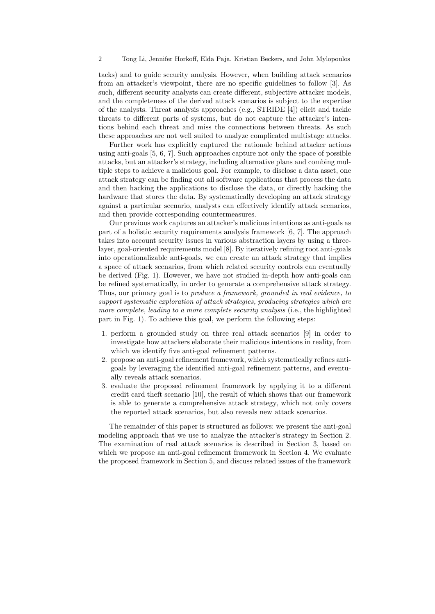tacks) and to guide security analysis. However, when building attack scenarios from an attacker's viewpoint, there are no specific guidelines to follow [3]. As such, different security analysts can create different, subjective attacker models, and the completeness of the derived attack scenarios is subject to the expertise of the analysts. Threat analysis approaches (e.g., STRIDE [4]) elicit and tackle threats to different parts of systems, but do not capture the attacker's intentions behind each threat and miss the connections between threats. As such these approaches are not well suited to analyze complicated multistage attacks.

Further work has explicitly captured the rationale behind attacker actions using anti-goals [5, 6, 7]. Such approaches capture not only the space of possible attacks, but an attacker's strategy, including alternative plans and combing multiple steps to achieve a malicious goal. For example, to disclose a data asset, one attack strategy can be finding out all software applications that process the data and then hacking the applications to disclose the data, or directly hacking the hardware that stores the data. By systematically developing an attack strategy against a particular scenario, analysts can effectively identify attack scenarios, and then provide corresponding countermeasures.

Our previous work captures an attacker's malicious intentions as anti-goals as part of a holistic security requirements analysis framework [6, 7]. The approach takes into account security issues in various abstraction layers by using a threelayer, goal-oriented requirements model [8]. By iteratively refining root anti-goals into operationalizable anti-goals, we can create an attack strategy that implies a space of attack scenarios, from which related security controls can eventually be derived (Fig. 1). However, we have not studied in-depth how anti-goals can be refined systematically, in order to generate a comprehensive attack strategy. Thus, our primary goal is to *produce a framework, grounded in real evidence*, to support systematic exploration of attack strategies, producing strategies which are more complete, leading to a more complete security analysis (i.e., the highlighted part in Fig. 1). To achieve this goal, we perform the following steps:

- 1. perform a grounded study on three real attack scenarios [9] in order to investigate how attackers elaborate their malicious intentions in reality, from which we identify five anti-goal refinement patterns.
- 2. propose an anti-goal refinement framework, which systematically refines antigoals by leveraging the identified anti-goal refinement patterns, and eventually reveals attack scenarios.
- 3. evaluate the proposed refinement framework by applying it to a different credit card theft scenario [10], the result of which shows that our framework is able to generate a comprehensive attack strategy, which not only covers the reported attack scenarios, but also reveals new attack scenarios.

The remainder of this paper is structured as follows: we present the anti-goal modeling approach that we use to analyze the attacker's strategy in Section 2. The examination of real attack scenarios is described in Section 3, based on which we propose an anti-goal refinement framework in Section 4. We evaluate the proposed framework in Section 5, and discuss related issues of the framework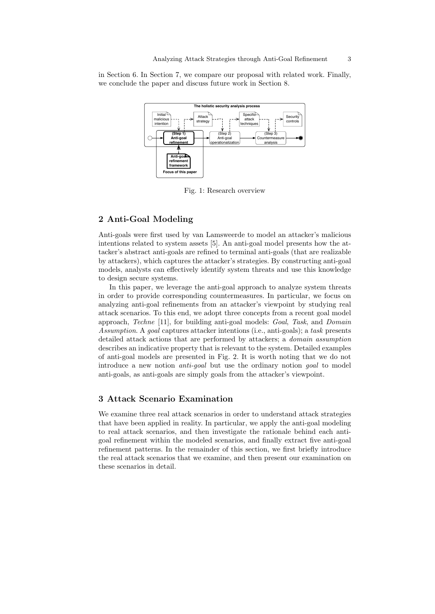in Section 6. In Section 7, we compare our proposal with related work. Finally, we conclude the paper and discuss future work in Section 8.



Fig. 1: Research overview

## 2 Anti-Goal Modeling

Anti-goals were first used by van Lamsweerde to model an attacker's malicious intentions related to system assets [5]. An anti-goal model presents how the attacker's abstract anti-goals are refined to terminal anti-goals (that are realizable by attackers), which captures the attacker's strategies. By constructing anti-goal models, analysts can effectively identify system threats and use this knowledge to design secure systems.

In this paper, we leverage the anti-goal approach to analyze system threats in order to provide corresponding countermeasures. In particular, we focus on analyzing anti-goal refinements from an attacker's viewpoint by studying real attack scenarios. To this end, we adopt three concepts from a recent goal model approach, Techne [11], for building anti-goal models: Goal, Task, and Domain Assumption. A goal captures attacker intentions (i.e., anti-goals); a task presents detailed attack actions that are performed by attackers; a domain assumption describes an indicative property that is relevant to the system. Detailed examples of anti-goal models are presented in Fig. 2. It is worth noting that we do not introduce a new notion anti-goal but use the ordinary notion goal to model anti-goals, as anti-goals are simply goals from the attacker's viewpoint.

## 3 Attack Scenario Examination

We examine three real attack scenarios in order to understand attack strategies that have been applied in reality. In particular, we apply the anti-goal modeling to real attack scenarios, and then investigate the rationale behind each antigoal refinement within the modeled scenarios, and finally extract five anti-goal refinement patterns. In the remainder of this section, we first briefly introduce the real attack scenarios that we examine, and then present our examination on these scenarios in detail.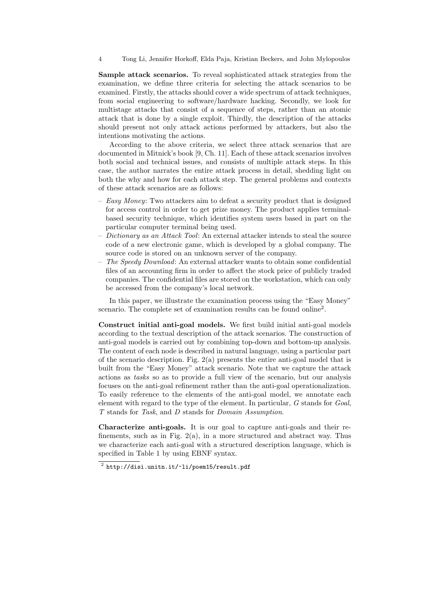Sample attack scenarios. To reveal sophisticated attack strategies from the examination, we define three criteria for selecting the attack scenarios to be examined. Firstly, the attacks should cover a wide spectrum of attack techniques, from social engineering to software/hardware hacking. Secondly, we look for multistage attacks that consist of a sequence of steps, rather than an atomic attack that is done by a single exploit. Thirdly, the description of the attacks should present not only attack actions performed by attackers, but also the intentions motivating the actions.

According to the above criteria, we select three attack scenarios that are documented in Mitnick's book [9, Ch. 11]. Each of these attack scenarios involves both social and technical issues, and consists of multiple attack steps. In this case, the author narrates the entire attack process in detail, shedding light on both the why and how for each attack step. The general problems and contexts of these attack scenarios are as follows:

- Easy Money: Two attackers aim to defeat a security product that is designed for access control in order to get prize money. The product applies terminalbased security technique, which identifies system users based in part on the particular computer terminal being used.
- $-$  Dictionary as an Attack Tool: An external attacker intends to steal the source code of a new electronic game, which is developed by a global company. The source code is stored on an unknown server of the company.
- $-$  The Speedy Download: An external attacker wants to obtain some confidential files of an accounting firm in order to affect the stock price of publicly traded companies. The confidential files are stored on the workstation, which can only be accessed from the company's local network.

In this paper, we illustrate the examination process using the "Easy Money" scenario. The complete set of examination results can be found online<sup>2</sup>.

Construct initial anti-goal models. We first build initial anti-goal models according to the textual description of the attack scenarios. The construction of anti-goal models is carried out by combining top-down and bottom-up analysis. The content of each node is described in natural language, using a particular part of the scenario description. Fig.  $2(a)$  presents the entire anti-goal model that is built from the "Easy Money" attack scenario. Note that we capture the attack actions as tasks so as to provide a full view of the scenario, but our analysis focuses on the anti-goal refinement rather than the anti-goal operationalization. To easily reference to the elements of the anti-goal model, we annotate each element with regard to the type of the element. In particular, G stands for Goal, T stands for Task, and D stands for Domain Assumption.

Characterize anti-goals. It is our goal to capture anti-goals and their refinements, such as in Fig.  $2(a)$ , in a more structured and abstract way. Thus we characterize each anti-goal with a structured description language, which is specified in Table 1 by using EBNF syntax.

 $^2$  http://disi.unitn.it/~li/poem15/result.pdf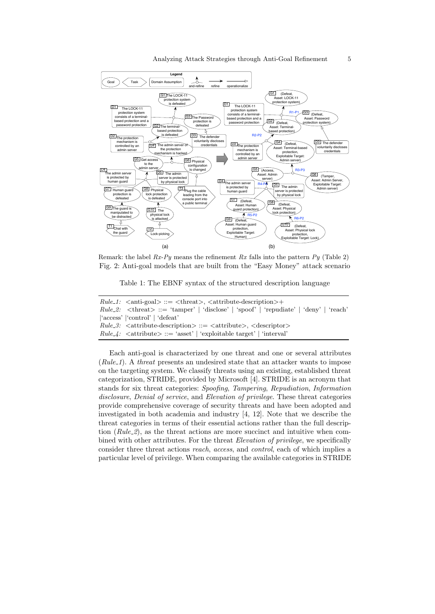

Remark: the label  $Rx-Py$  means the refinement  $Rx$  falls into the pattern  $Py$  (Table 2) Fig. 2: Anti-goal models that are built from the "Easy Money" attack scenario

Table 1: The EBNF syntax of the structured description language

| $Rule_1$ : $\langle$ anti-goal $\rangle ::=$ $\langle$ threat $\rangle$ , $\langle$ attribute-description $\rangle +$ |
|-----------------------------------------------------------------------------------------------------------------------|
| $Rule.2:$ $\lt$ threat $gt$ ::= 'tamper'   'disclose'   'spoof'   'repudiate'   'deny'   'reach'                      |
| 'access'  'control'   'defeat'                                                                                        |
| <i>Rule_3:</i> $\lt$ attribute-description $\gt$ ::= $\lt$ attribute $\gt$ , $\lt$ descriptor $\gt$                   |
| $Rule \angle$ : $\langle$ attribute $\rangle ::=$ 'asset' $\langle$ 'exploitable target' $\langle$ 'interval'         |

Each anti-goal is characterized by one threat and one or several attributes  $(Rule_1)$ . A threat presents an undesired state that an attacker wants to impose on the targeting system. We classify threats using an existing, established threat categorization, STRIDE, provided by Microsoft [4]. STRIDE is an acronym that stands for six threat categories: Spoofing, Tampering, Repudiation, Information disclosure, Denial of service, and Elevation of privilege. These threat categories provide comprehensive coverage of security threats and have been adopted and investigated in both academia and industry [4, 12]. Note that we describe the threat categories in terms of their essential actions rather than the full description  $(Rule_2)$ , as the threat actions are more succinct and intuitive when combined with other attributes. For the threat *Elevation of privilege*, we specifically consider three threat actions reach, access, and control, each of which implies a particular level of privilege. When comparing the available categories in STRIDE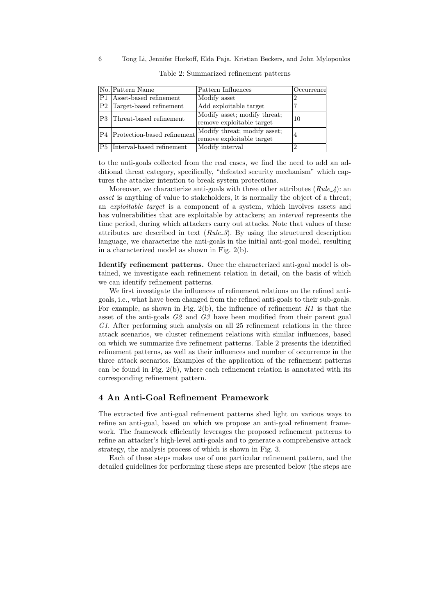|          | No. Pattern Name               | Pattern Influences                                        | Occurrence |
|----------|--------------------------------|-----------------------------------------------------------|------------|
| P1       | Asset-based refinement         | Modify asset                                              |            |
| $\rm P2$ | Target-based refinement        | Add exploitable target                                    |            |
|          | P3 Threat-based refinement     | Modify asset; modify threat;<br>remove exploitable target | 10         |
|          | P4 Protection-based refinement | Modify threat; modify asset;<br>remove exploitable target | 4          |
|          | P5 Interval-based refinement   | Modify interval                                           | ച          |

Table 2: Summarized refinement patterns

to the anti-goals collected from the real cases, we find the need to add an additional threat category, specifically, "defeated security mechanism" which captures the attacker intention to break system protections.

Moreover, we characterize anti-goals with three other attributes  $(Rule_4):$  an asset is anything of value to stakeholders, it is normally the object of a threat; an exploitable target is a component of a system, which involves assets and has vulnerabilities that are exploitable by attackers; an *interval* represents the time period, during which attackers carry out attacks. Note that values of these attributes are described in text  $(Rule.3)$ . By using the structured description language, we characterize the anti-goals in the initial anti-goal model, resulting in a characterized model as shown in Fig. 2(b).

Identify refinement patterns. Once the characterized anti-goal model is obtained, we investigate each refinement relation in detail, on the basis of which we can identify refinement patterns.

We first investigate the influences of refinement relations on the refined antigoals, i.e., what have been changed from the refined anti-goals to their sub-goals. For example, as shown in Fig. 2(b), the influence of refinement  $R1$  is that the asset of the anti-goals  $G2$  and  $G3$  have been modified from their parent goal G1. After performing such analysis on all 25 refinement relations in the three attack scenarios, we cluster refinement relations with similar influences, based on which we summarize five refinement patterns. Table 2 presents the identified refinement patterns, as well as their influences and number of occurrence in the three attack scenarios. Examples of the application of the refinement patterns can be found in Fig. 2(b), where each refinement relation is annotated with its corresponding refinement pattern.

#### 4 An Anti-Goal Refinement Framework

The extracted five anti-goal refinement patterns shed light on various ways to refine an anti-goal, based on which we propose an anti-goal refinement framework. The framework efficiently leverages the proposed refinement patterns to refine an attacker's high-level anti-goals and to generate a comprehensive attack strategy, the analysis process of which is shown in Fig. 3.

Each of these steps makes use of one particular refinement pattern, and the detailed guidelines for performing these steps are presented below (the steps are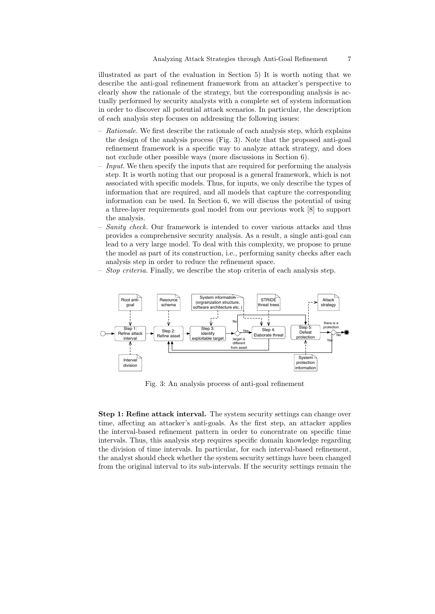illustrated as part of the evaluation in Section 5) It is worth noting that we describe the anti-goal refinement framework from an attacker's perspective to clearly show the rationale of the strategy, but the corresponding analysis is actually performed by security analysts with a complete set of system information in order to discover all potential attack scenarios. In particular, the description of each analysis step focuses on addressing the following issues:

- Rationale. We first describe the rationale of each analysis step, which explains the design of the analysis process (Fig. 3). Note that the proposed anti-goal refinement framework is a specific way to analyze attack strategy, and does not exclude other possible ways (more discussions in Section 6).
- $-$  *Input.* We then specify the inputs that are required for performing the analysis step. It is worth noting that our proposal is a general framework, which is not associated with specific models. Thus, for inputs, we only describe the types of information that are required, and all models that capture the corresponding information can be used. In Section 6, we will discuss the potential of using a three-layer requirements goal model from our previous work [8] to support the analysis.
- Sanity check. Our framework is intended to cover various attacks and thus provides a comprehensive security analysis. As a result, a single anti-goal can lead to a very large model. To deal with this complexity, we propose to prune the model as part of its construction, i.e., performing sanity checks after each analysis step in order to reduce the refinement space.
- Stop criteria. Finally, we describe the stop criteria of each analysis step.



Fig. 3: An analysis process of anti-goal refinement

Step 1: Refine attack interval. The system security settings can change over time, affecting an attacker's anti-goals. As the first step, an attacker applies the interval-based refinement pattern in order to concentrate on specific time intervals. Thus, this analysis step requires specific domain knowledge regarding the division of time intervals. In particular, for each interval-based refinement, the analyst should check whether the system security settings have been changed from the original interval to its sub-intervals. If the security settings remain the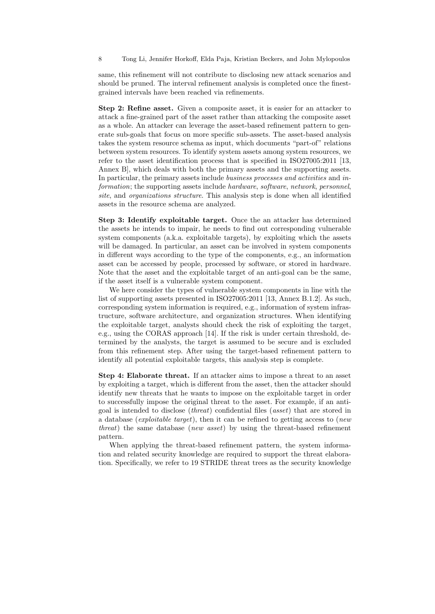same, this refinement will not contribute to disclosing new attack scenarios and should be pruned. The interval refinement analysis is completed once the finestgrained intervals have been reached via refinements.

Step 2: Refine asset. Given a composite asset, it is easier for an attacker to attack a fine-grained part of the asset rather than attacking the composite asset as a whole. An attacker can leverage the asset-based refinement pattern to generate sub-goals that focus on more specific sub-assets. The asset-based analysis takes the system resource schema as input, which documents "part-of" relations between system resources. To identify system assets among system resources, we refer to the asset identification process that is specified in ISO27005:2011 [13, Annex B], which deals with both the primary assets and the supporting assets. In particular, the primary assets include business processes and activities and information; the supporting assets include hardware, software, network, personnel, site, and organizations structure. This analysis step is done when all identified assets in the resource schema are analyzed.

Step 3: Identify exploitable target. Once the an attacker has determined the assets he intends to impair, he needs to find out corresponding vulnerable system components (a.k.a. exploitable targets), by exploiting which the assets will be damaged. In particular, an asset can be involved in system components in different ways according to the type of the components, e.g., an information asset can be accessed by people, processed by software, or stored in hardware. Note that the asset and the exploitable target of an anti-goal can be the same, if the asset itself is a vulnerable system component.

We here consider the types of vulnerable system components in line with the list of supporting assets presented in ISO27005:2011 [13, Annex B.1.2]. As such, corresponding system information is required, e.g., information of system infrastructure, software architecture, and organization structures. When identifying the exploitable target, analysts should check the risk of exploiting the target, e.g., using the CORAS approach [14]. If the risk is under certain threshold, determined by the analysts, the target is assumed to be secure and is excluded from this refinement step. After using the target-based refinement pattern to identify all potential exploitable targets, this analysis step is complete.

Step 4: Elaborate threat. If an attacker aims to impose a threat to an asset by exploiting a target, which is different from the asset, then the attacker should identify new threats that he wants to impose on the exploitable target in order to successfully impose the original threat to the asset. For example, if an antigoal is intended to disclose (threat) confidential files (asset) that are stored in a database (exploitable target), then it can be refined to getting access to (new threat) the same database (new asset) by using the threat-based refinement pattern.

When applying the threat-based refinement pattern, the system information and related security knowledge are required to support the threat elaboration. Specifically, we refer to 19 STRIDE threat trees as the security knowledge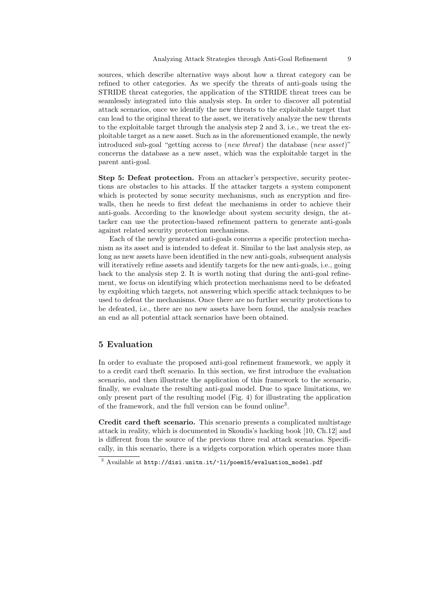sources, which describe alternative ways about how a threat category can be refined to other categories. As we specify the threats of anti-goals using the STRIDE threat categories, the application of the STRIDE threat trees can be seamlessly integrated into this analysis step. In order to discover all potential attack scenarios, once we identify the new threats to the exploitable target that can lead to the original threat to the asset, we iteratively analyze the new threats to the exploitable target through the analysis step 2 and 3, i.e., we treat the exploitable target as a new asset. Such as in the aforementioned example, the newly introduced sub-goal "getting access to (new threat) the database (new asset)" concerns the database as a new asset, which was the exploitable target in the parent anti-goal.

Step 5: Defeat protection. From an attacker's perspective, security protections are obstacles to his attacks. If the attacker targets a system component which is protected by some security mechanisms, such as encryption and firewalls, then he needs to first defeat the mechanisms in order to achieve their anti-goals. According to the knowledge about system security design, the attacker can use the protection-based refinement pattern to generate anti-goals against related security protection mechanisms.

Each of the newly generated anti-goals concerns a specific protection mechanism as its asset and is intended to defeat it. Similar to the last analysis step, as long as new assets have been identified in the new anti-goals, subsequent analysis will iteratively refine assets and identify targets for the new anti-goals, i.e., going back to the analysis step 2. It is worth noting that during the anti-goal refinement, we focus on identifying which protection mechanisms need to be defeated by exploiting which targets, not answering which specific attack techniques to be used to defeat the mechanisms. Once there are no further security protections to be defeated, i.e., there are no new assets have been found, the analysis reaches an end as all potential attack scenarios have been obtained.

#### 5 Evaluation

In order to evaluate the proposed anti-goal refinement framework, we apply it to a credit card theft scenario. In this section, we first introduce the evaluation scenario, and then illustrate the application of this framework to the scenario, finally, we evaluate the resulting anti-goal model. Due to space limitations, we only present part of the resulting model (Fig. 4) for illustrating the application of the framework, and the full version can be found online<sup>3</sup> .

Credit card theft scenario. This scenario presents a complicated multistage attack in reality, which is documented in Skoudis's hacking book [10, Ch.12] and is different from the source of the previous three real attack scenarios. Specifically, in this scenario, there is a widgets corporation which operates more than

 $3$  Available at http://disi.unitn.it/~li/poem15/evaluation\_model.pdf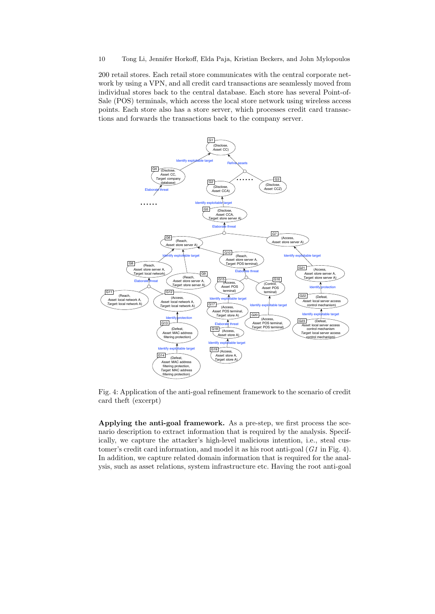200 retail stores. Each retail store communicates with the central corporate network by using a VPN, and all credit card transactions are seamlessly moved from individual stores back to the central database. Each store has several Point-of-Sale (POS) terminals, which access the local store network using wireless access points. Each store also has a store server, which processes credit card transactions and forwards the transactions back to the company server.



Fig. 4: Application of the anti-goal refinement framework to the scenario of credit card theft (excerpt)

Applying the anti-goal framework. As a pre-step, we first process the scenario description to extract information that is required by the analysis. Specifically, we capture the attacker's high-level malicious intention, i.e., steal customer's credit card information, and model it as his root anti-goal (G1 in Fig. 4). In addition, we capture related domain information that is required for the analysis, such as asset relations, system infrastructure etc. Having the root anti-goal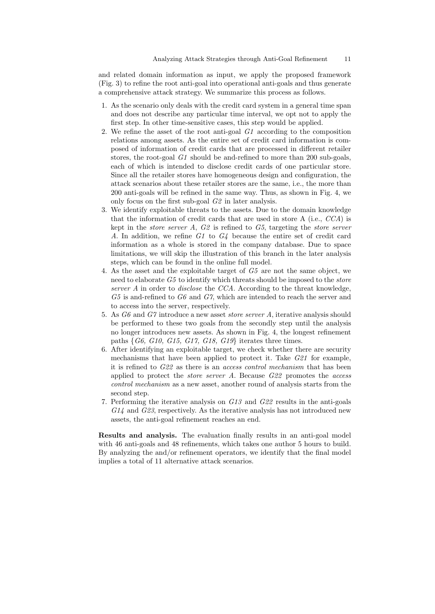and related domain information as input, we apply the proposed framework (Fig. 3) to refine the root anti-goal into operational anti-goals and thus generate a comprehensive attack strategy. We summarize this process as follows.

- 1. As the scenario only deals with the credit card system in a general time span and does not describe any particular time interval, we opt not to apply the first step. In other time-sensitive cases, this step would be applied.
- 2. We refine the asset of the root anti-goal  $G1$  according to the composition relations among assets. As the entire set of credit card information is composed of information of credit cards that are processed in different retailer stores, the root-goal G1 should be and-refined to more than 200 sub-goals, each of which is intended to disclose credit cards of one particular store. Since all the retailer stores have homogeneous design and configuration, the attack scenarios about these retailer stores are the same, i.e., the more than 200 anti-goals will be refined in the same way. Thus, as shown in Fig. 4, we only focus on the first sub-goal G2 in later analysis.
- 3. We identify exploitable threats to the assets. Due to the domain knowledge that the information of credit cards that are used in store A (i.e., CCA) is kept in the store server A, G2 is refined to G5, targeting the store server A. In addition, we refine  $G1$  to  $G4$  because the entire set of credit card information as a whole is stored in the company database. Due to space limitations, we will skip the illustration of this branch in the later analysis steps, which can be found in the online full model.
- 4. As the asset and the exploitable target of G5 are not the same object, we need to elaborate G5 to identify which threats should be imposed to the *store* server A in order to *disclose* the CCA. According to the threat knowledge,  $G5$  is and-refined to  $G6$  and  $G7$ , which are intended to reach the server and to access into the server, respectively.
- 5. As G6 and G7 introduce a new asset store server A, iterative analysis should be performed to these two goals from the secondly step until the analysis no longer introduces new assets. As shown in Fig. 4, the longest refinement paths  $\{G6, G10, G15, G17, G18, G19\}$  iterates three times.
- 6. After identifying an exploitable target, we check whether there are security mechanisms that have been applied to protect it. Take G21 for example, it is refined to G22 as there is an access control mechanism that has been applied to protect the store server A. Because G22 promotes the access control mechanism as a new asset, another round of analysis starts from the second step.
- 7. Performing the iterative analysis on G13 and G22 results in the anti-goals  $G14$  and  $G23$ , respectively. As the iterative analysis has not introduced new assets, the anti-goal refinement reaches an end.

Results and analysis. The evaluation finally results in an anti-goal model with 46 anti-goals and 48 refinements, which takes one author 5 hours to build. By analyzing the and/or refinement operators, we identify that the final model implies a total of 11 alternative attack scenarios.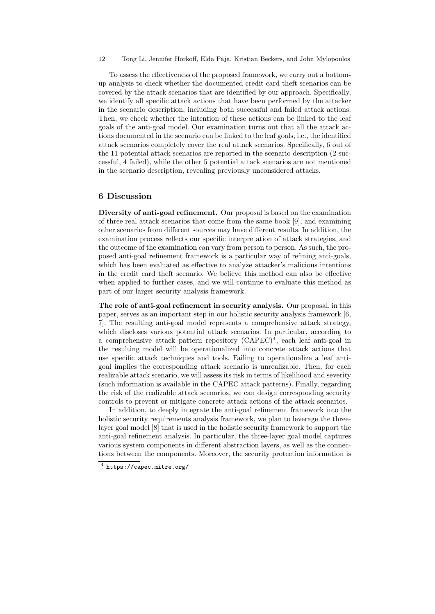To assess the effectiveness of the proposed framework, we carry out a bottomup analysis to check whether the documented credit card theft scenarios can be covered by the attack scenarios that are identified by our approach. Specifically, we identify all specific attack actions that have been performed by the attacker in the scenario description, including both successful and failed attack actions. Then, we check whether the intention of these actions can be linked to the leaf goals of the anti-goal model. Our examination turns out that all the attack actions documented in the scenario can be linked to the leaf goals, i.e., the identified attack scenarios completely cover the real attack scenarios. Specifically, 6 out of the 11 potential attack scenarios are reported in the scenario description (2 successful, 4 failed), while the other 5 potential attack scenarios are not mentioned in the scenario description, revealing previously unconsidered attacks.

#### 6 Discussion

Diversity of anti-goal refinement. Our proposal is based on the examination of three real attack scenarios that come from the same book [9], and examining other scenarios from different sources may have different results. In addition, the examination process reflects our specific interpretation of attack strategies, and the outcome of the examination can vary from person to person. As such, the proposed anti-goal refinement framework is a particular way of refining anti-goals, which has been evaluated as effective to analyze attacker's malicious intentions in the credit card theft scenario. We believe this method can also be effective when applied to further cases, and we will continue to evaluate this method as part of our larger security analysis framework.

The role of anti-goal refinement in security analysis. Our proposal, in this paper, serves as an important step in our holistic security analysis framework [6, 7]. The resulting anti-goal model represents a comprehensive attack strategy, which discloses various potential attack scenarios. In particular, according to a comprehensive attack pattern repository  $(CAPEC)^4$ , each leaf anti-goal in the resulting model will be operationalized into concrete attack actions that use specific attack techniques and tools. Failing to operationalize a leaf antigoal implies the corresponding attack scenario is unrealizable. Then, for each realizable attack scenario, we will assess its risk in terms of likelihood and severity (such information is available in the CAPEC attack patterns). Finally, regarding the risk of the realizable attack scenarios, we can design corresponding security controls to prevent or mitigate concrete attack actions of the attack scenarios.

In addition, to deeply integrate the anti-goal refinement framework into the holistic security requirements analysis framework, we plan to leverage the threelayer goal model [8] that is used in the holistic security framework to support the anti-goal refinement analysis. In particular, the three-layer goal model captures various system components in different abstraction layers, as well as the connections between the components. Moreover, the security protection information is

 $^4$  https://capec.mitre.org/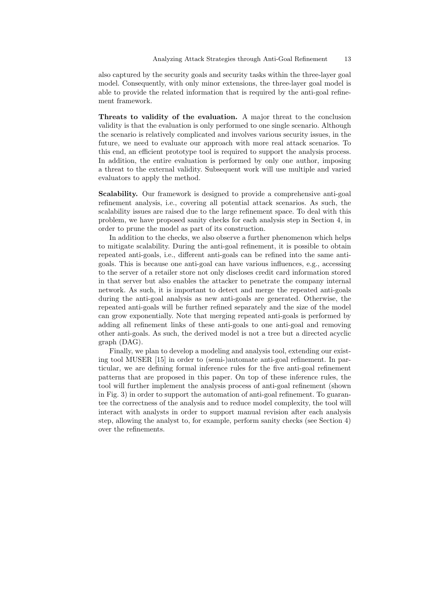also captured by the security goals and security tasks within the three-layer goal model. Consequently, with only minor extensions, the three-layer goal model is able to provide the related information that is required by the anti-goal refinement framework.

Threats to validity of the evaluation. A major threat to the conclusion validity is that the evaluation is only performed to one single scenario. Although the scenario is relatively complicated and involves various security issues, in the future, we need to evaluate our approach with more real attack scenarios. To this end, an efficient prototype tool is required to support the analysis process. In addition, the entire evaluation is performed by only one author, imposing a threat to the external validity. Subsequent work will use multiple and varied evaluators to apply the method.

Scalability. Our framework is designed to provide a comprehensive anti-goal refinement analysis, i.e., covering all potential attack scenarios. As such, the scalability issues are raised due to the large refinement space. To deal with this problem, we have proposed sanity checks for each analysis step in Section 4, in order to prune the model as part of its construction.

In addition to the checks, we also observe a further phenomenon which helps to mitigate scalability. During the anti-goal refinement, it is possible to obtain repeated anti-goals, i.e., different anti-goals can be refined into the same antigoals. This is because one anti-goal can have various influences, e.g., accessing to the server of a retailer store not only discloses credit card information stored in that server but also enables the attacker to penetrate the company internal network. As such, it is important to detect and merge the repeated anti-goals during the anti-goal analysis as new anti-goals are generated. Otherwise, the repeated anti-goals will be further refined separately and the size of the model can grow exponentially. Note that merging repeated anti-goals is performed by adding all refinement links of these anti-goals to one anti-goal and removing other anti-goals. As such, the derived model is not a tree but a directed acyclic graph (DAG).

Finally, we plan to develop a modeling and analysis tool, extending our existing tool MUSER [15] in order to (semi-)automate anti-goal refinement. In particular, we are defining formal inference rules for the five anti-goal refinement patterns that are proposed in this paper. On top of these inference rules, the tool will further implement the analysis process of anti-goal refinement (shown in Fig. 3) in order to support the automation of anti-goal refinement. To guarantee the correctness of the analysis and to reduce model complexity, the tool will interact with analysts in order to support manual revision after each analysis step, allowing the analyst to, for example, perform sanity checks (see Section 4) over the refinements.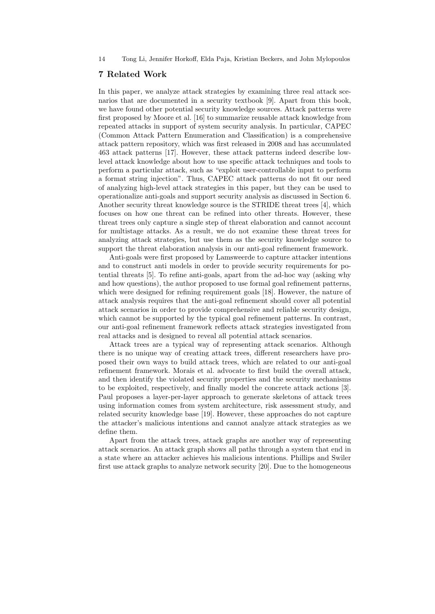#### 7 Related Work

In this paper, we analyze attack strategies by examining three real attack scenarios that are documented in a security textbook [9]. Apart from this book, we have found other potential security knowledge sources. Attack patterns were first proposed by Moore et al. [16] to summarize reusable attack knowledge from repeated attacks in support of system security analysis. In particular, CAPEC (Common Attack Pattern Enumeration and Classification) is a comprehensive attack pattern repository, which was first released in 2008 and has accumulated 463 attack patterns [17]. However, these attack patterns indeed describe lowlevel attack knowledge about how to use specific attack techniques and tools to perform a particular attack, such as "exploit user-controllable input to perform a format string injection". Thus, CAPEC attack patterns do not fit our need of analyzing high-level attack strategies in this paper, but they can be used to operationalize anti-goals and support security analysis as discussed in Section 6. Another security threat knowledge source is the STRIDE threat trees [4], which focuses on how one threat can be refined into other threats. However, these threat trees only capture a single step of threat elaboration and cannot account for multistage attacks. As a result, we do not examine these threat trees for analyzing attack strategies, but use them as the security knowledge source to support the threat elaboration analysis in our anti-goal refinement framework.

Anti-goals were first proposed by Lamsweerde to capture attacker intentions and to construct anti models in order to provide security requirements for potential threats [5]. To refine anti-goals, apart from the ad-hoc way (asking why and how questions), the author proposed to use formal goal refinement patterns, which were designed for refining requirement goals [18]. However, the nature of attack analysis requires that the anti-goal refinement should cover all potential attack scenarios in order to provide comprehensive and reliable security design, which cannot be supported by the typical goal refinement patterns. In contrast, our anti-goal refinement framework reflects attack strategies investigated from real attacks and is designed to reveal all potential attack scenarios.

Attack trees are a typical way of representing attack scenarios. Although there is no unique way of creating attack trees, different researchers have proposed their own ways to build attack trees, which are related to our anti-goal refinement framework. Morais et al. advocate to first build the overall attack, and then identify the violated security properties and the security mechanisms to be exploited, respectively, and finally model the concrete attack actions [3]. Paul proposes a layer-per-layer approach to generate skeletons of attack trees using information comes from system architecture, risk assessment study, and related security knowledge base [19]. However, these approaches do not capture the attacker's malicious intentions and cannot analyze attack strategies as we define them.

Apart from the attack trees, attack graphs are another way of representing attack scenarios. An attack graph shows all paths through a system that end in a state where an attacker achieves his malicious intentions. Phillips and Swiler first use attack graphs to analyze network security [20]. Due to the homogeneous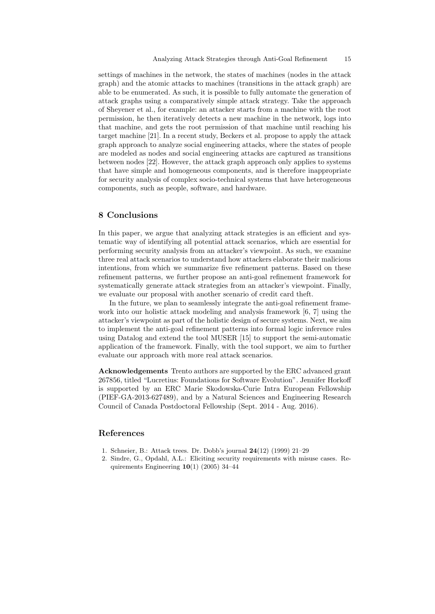settings of machines in the network, the states of machines (nodes in the attack graph) and the atomic attacks to machines (transitions in the attack graph) are able to be enumerated. As such, it is possible to fully automate the generation of attack graphs using a comparatively simple attack strategy. Take the approach of Sheyener et al., for example: an attacker starts from a machine with the root permission, he then iteratively detects a new machine in the network, logs into that machine, and gets the root permission of that machine until reaching his target machine [21]. In a recent study, Beckers et al. propose to apply the attack graph approach to analyze social engineering attacks, where the states of people are modeled as nodes and social engineering attacks are captured as transitions between nodes [22]. However, the attack graph approach only applies to systems that have simple and homogeneous components, and is therefore inappropriate for security analysis of complex socio-technical systems that have heterogeneous components, such as people, software, and hardware.

## 8 Conclusions

In this paper, we argue that analyzing attack strategies is an efficient and systematic way of identifying all potential attack scenarios, which are essential for performing security analysis from an attacker's viewpoint. As such, we examine three real attack scenarios to understand how attackers elaborate their malicious intentions, from which we summarize five refinement patterns. Based on these refinement patterns, we further propose an anti-goal refinement framework for systematically generate attack strategies from an attacker's viewpoint. Finally, we evaluate our proposal with another scenario of credit card theft.

In the future, we plan to seamlessly integrate the anti-goal refinement framework into our holistic attack modeling and analysis framework [6, 7] using the attacker's viewpoint as part of the holistic design of secure systems. Next, we aim to implement the anti-goal refinement patterns into formal logic inference rules using Datalog and extend the tool MUSER [15] to support the semi-automatic application of the framework. Finally, with the tool support, we aim to further evaluate our approach with more real attack scenarios.

Acknowledgements Trento authors are supported by the ERC advanced grant 267856, titled "Lucretius: Foundations for Software Evolution". Jennifer Horkoff is supported by an ERC Marie Skodowska-Curie Intra European Fellowship (PIEF-GA-2013-627489), and by a Natural Sciences and Engineering Research Council of Canada Postdoctoral Fellowship (Sept. 2014 - Aug. 2016).

## References

- 1. Schneier, B.: Attack trees. Dr. Dobb's journal 24(12) (1999) 21–29
- 2. Sindre, G., Opdahl, A.L.: Eliciting security requirements with misuse cases. Requirements Engineering 10(1) (2005) 34–44